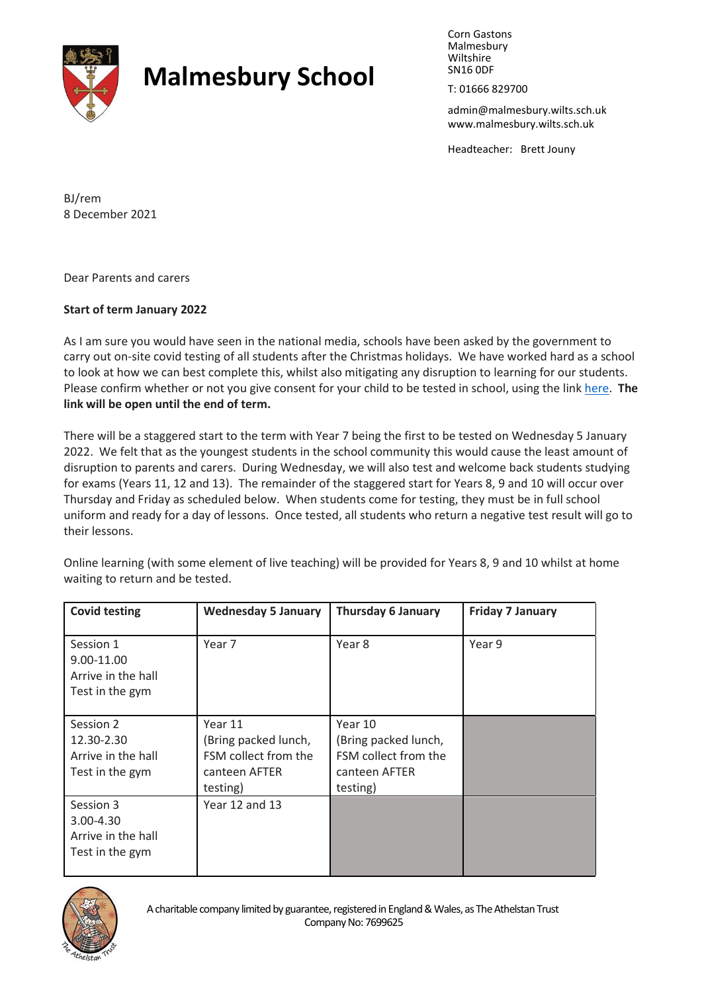

## **Malmesbury School**

Corn Gastons Malmesbury Wiltshire SN16 0DF

T: 01666 829700

admin@malmesbury.wilts.sch.uk www.malmesbury.wilts.sch.uk

Headteacher: Brett Jouny

BJ/rem 8 December 2021

Dear Parents and carers

## **Start of term January 2022**

As I am sure you would have seen in the national media, schools have been asked by the government to carry out on-site covid testing of all students after the Christmas holidays. We have worked hard as a school to look at how we can best complete this, whilst also mitigating any disruption to learning for our students. Please confirm whether or not you give consent for your child to be tested in school, using the lin[k here.](https://forms.office.com/Pages/ResponsePage.aspx?id=gP8AdlaKrkO-L5eFxWGUaL5ay_lU6W5Ii_UeSMYELlNUNzAwV1hVS1pMTEtBVDZEOU9TQ0paU0pCQS4u&wdLOR=c970E1D92-184D-42DF-BD83-08622C257CB5) **The link will be open until the end of term.** 

There will be a staggered start to the term with Year 7 being the first to be tested on Wednesday 5 January 2022. We felt that as the youngest students in the school community this would cause the least amount of disruption to parents and carers. During Wednesday, we will also test and welcome back students studying for exams (Years 11, 12 and 13). The remainder of the staggered start for Years 8, 9 and 10 will occur over Thursday and Friday as scheduled below. When students come for testing, they must be in full school uniform and ready for a day of lessons. Once tested, all students who return a negative test result will go to their lessons.

Online learning (with some element of live teaching) will be provided for Years 8, 9 and 10 whilst at home waiting to return and be tested.

| <b>Covid testing</b>                                             | <b>Wednesday 5 January</b>                                                           | <b>Thursday 6 January</b>                                                            | <b>Friday 7 January</b> |
|------------------------------------------------------------------|--------------------------------------------------------------------------------------|--------------------------------------------------------------------------------------|-------------------------|
| Session 1<br>9.00-11.00<br>Arrive in the hall<br>Test in the gym | Year 7                                                                               | Year 8                                                                               | Year 9                  |
| Session 2<br>12.30-2.30<br>Arrive in the hall<br>Test in the gym | Year 11<br>(Bring packed lunch,<br>FSM collect from the<br>canteen AFTER<br>testing) | Year 10<br>(Bring packed lunch,<br>FSM collect from the<br>canteen AFTER<br>testing) |                         |
| Session 3<br>3.00-4.30<br>Arrive in the hall<br>Test in the gym  | Year 12 and 13                                                                       |                                                                                      |                         |